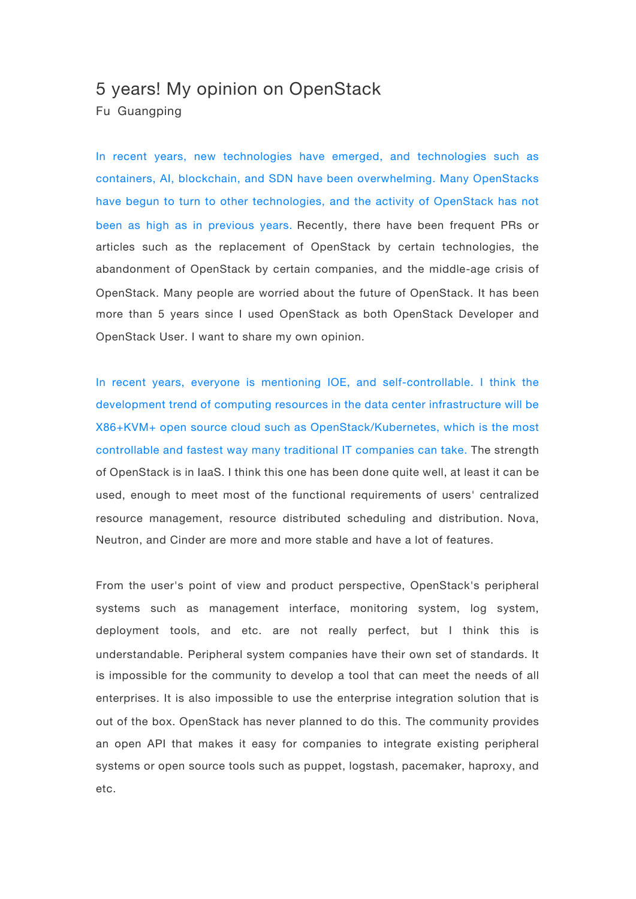## 5 years! My opinion on OpenStack

Fu Guangping

In recent years, new technologies have emerged, and technologies such as containers, AI, blockchain, and SDN have been overwhelming. Many OpenStacks have begun to turn to other technologies, and the activity of OpenStack has not been as high as in previous years. Recently, there have been frequent PRs or articles such as the replacement of OpenStack by certain technologies, the abandonment of OpenStack by certain companies, and the middle-age crisis of OpenStack. Many people are worried about the future of OpenStack. It has been more than 5 years since I used OpenStack as both OpenStack Developer and OpenStack User. I want to share my own opinion.

In recent years, everyone is mentioning IOE, and self-controllable. I think the development trend of computing resources in the data center infrastructure will be X86+KVM+ open source cloud such as OpenStack/Kubernetes, which is the most controllable and fastest way many traditional IT companies can take. The strength of OpenStack is in IaaS. I think this one has been done quite well, at least it can be used, enough to meet most of the functional requirements of users' centralized resource management, resource distributed scheduling and distribution. Nova, Neutron, and Cinder are more and more stable and have a lot of features.

From the user's point of view and product perspective, OpenStack's peripheral systems such as management interface, monitoring system, log system, deployment tools, and etc. are not really perfect, but I think this is understandable. Peripheral system companies have their own set of standards. It is impossible for the community to develop a tool that can meet the needs of all enterprises. It is also impossible to use the enterprise integration solution that is out of the box. OpenStack has never planned to do this. The community provides an open API that makes it easy for companies to integrate existing peripheral systems or open source tools such as puppet, logstash, pacemaker, haproxy, and etc.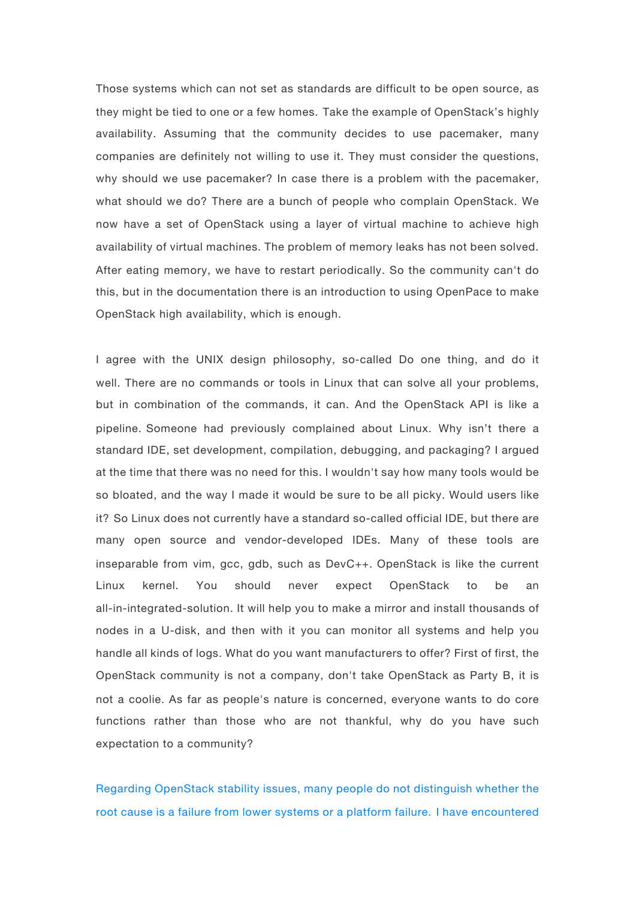Those systems which can not set as standards are difficult to be open source, as they might be tied to one or a few homes. Take the example of OpenStack's highly availability. Assuming that the community decides to use pacemaker, many companies are definitely not willing to use it. They must consider the questions, why should we use pacemaker? In case there is a problem with the pacemaker, what should we do? There are a bunch of people who complain OpenStack. We now have a set of OpenStack using a layer of virtual machine to achieve high availability of virtual machines. The problem of memory leaks has not been solved. After eating memory, we have to restart periodically. So the community can't do this, but in the documentation there is an introduction to using OpenPace to make OpenStack high availability, which is enough.

I agree with the UNIX design philosophy, so-called Do one thing, and do it well. There are no commands or tools in Linux that can solve all your problems, but in combination of the commands, it can. And the OpenStack API is like a pipeline. Someone had previously complained about Linux. Why isn't there a standard IDE, set development, compilation, debugging, and packaging? I argued at the time that there was no need for this. I wouldn't say how many tools would be so bloated, and the way I made it would be sure to be all picky. Would users like it? So Linux does not currently have a standard so-called official IDE, but there are many open source and vendor-developed IDEs. Many of these tools are inseparable from vim, gcc, gdb, such as DevC++. OpenStack is like the current Linux kernel. You should never expect OpenStack to be an all-in-integrated-solution. It will help you to make a mirror and install thousands of nodes in a U-disk, and then with it you can monitor all systems and help you handle all kinds of logs. What do you want manufacturers to offer? First of first, the OpenStack community is not a company, don't take OpenStack as Party B, it is not a coolie. As far as people's nature is concerned, everyone wants to do core functions rather than those who are not thankful, why do you have such expectation to a community?

Regarding OpenStack stability issues, many people do not distinguish whether the root cause is a failure from lower systems or a platform failure. I have encountered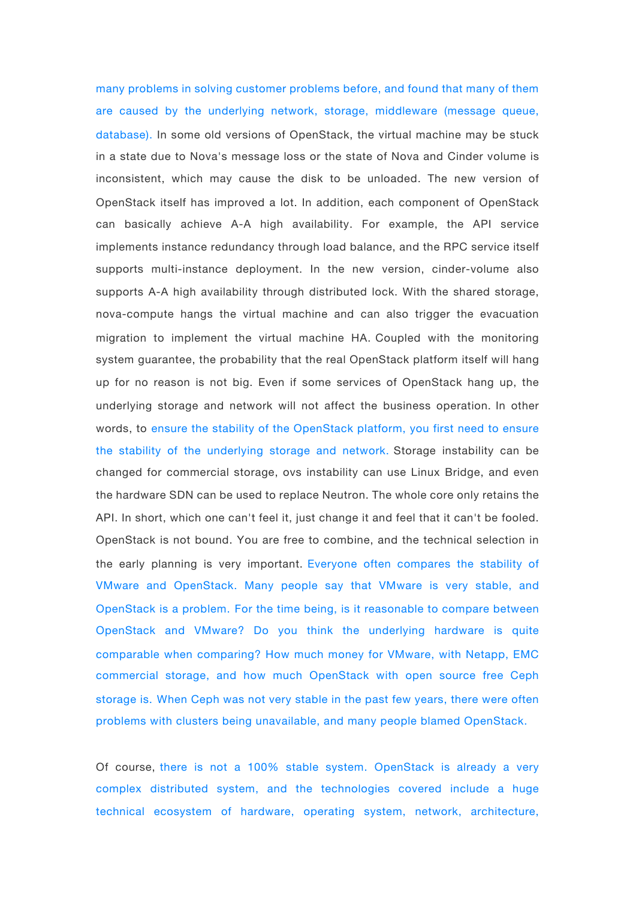many problems in solving customer problems before, and found that many of them are caused by the underlying network, storage, middleware (message queue, database). In some old versions of OpenStack, the virtual machine may be stuck in a state due to Nova's message loss or the state of Nova and Cinder volume is inconsistent, which may cause the disk to be unloaded. The new version of OpenStack itself has improved a lot. In addition, each component of OpenStack can basically achieve A-A high availability. For example, the API service implements instance redundancy through load balance, and the RPC service itself supports multi-instance deployment. In the new version, cinder-volume also supports A-A high availability through distributed lock. With the shared storage, nova-compute hangs the virtual machine and can also trigger the evacuation migration to implement the virtual machine HA. Coupled with the monitoring system guarantee, the probability that the real OpenStack platform itself will hang up for no reason is not big. Even if some services of OpenStack hang up, the underlying storage and network will not affect the business operation. In other words, to ensure the stability of the OpenStack platform, you first need to ensure the stability of the underlying storage and network. Storage instability can be changed for commercial storage, ovs instability can use Linux Bridge, and even the hardware SDN can be used to replace Neutron. The whole core only retains the API. In short, which one can't feel it, just change it and feel that it can't be fooled. OpenStack is not bound. You are free to combine, and the technical selection in the early planning is very important. Everyone often compares the stability of VMware and OpenStack. Many people say that VMware is very stable, and OpenStack is a problem. For the time being, is it reasonable to compare between OpenStack and VMware? Do you think the underlying hardware is quite comparable when comparing? How much money for VMware, with Netapp, EMC commercial storage, and how much OpenStack with open source free Ceph storage is. When Ceph was not very stable in the past few years, there were often problems with clusters being unavailable, and many people blamed OpenStack.

Of course, there is not a 100% stable system. OpenStack is already a very complex distributed system, and the technologies covered include a huge technical ecosystem of hardware, operating system, network, architecture,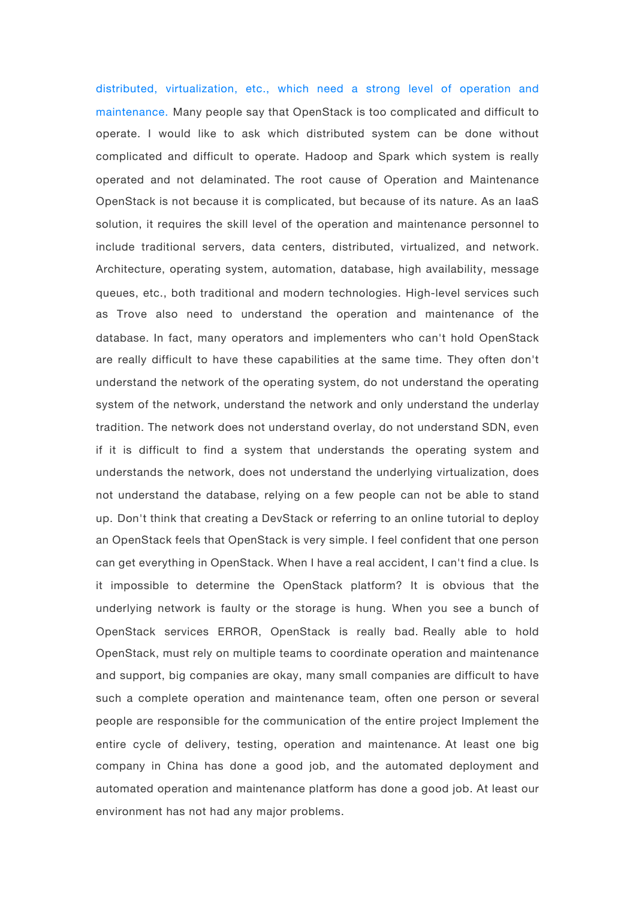distributed, virtualization, etc., which need a strong level of operation and maintenance. Many people say that OpenStack is too complicated and difficult to operate. I would like to ask which distributed system can be done without complicated and difficult to operate. Hadoop and Spark which system is really operated and not delaminated. The root cause of Operation and Maintenance OpenStack is not because it is complicated, but because of its nature. As an IaaS solution, it requires the skill level of the operation and maintenance personnel to include traditional servers, data centers, distributed, virtualized, and network. Architecture, operating system, automation, database, high availability, message queues, etc., both traditional and modern technologies. High-level services such as Trove also need to understand the operation and maintenance of the database. In fact, many operators and implementers who can't hold OpenStack are really difficult to have these capabilities at the same time. They often don't understand the network of the operating system, do not understand the operating system of the network, understand the network and only understand the underlay tradition. The network does not understand overlay, do not understand SDN, even if it is difficult to find a system that understands the operating system and understands the network, does not understand the underlying virtualization, does not understand the database, relying on a few people can not be able to stand up. Don't think that creating a DevStack or referring to an online tutorial to deploy an OpenStack feels that OpenStack is very simple. I feel confident that one person can get everything in OpenStack. When I have a real accident, I can't find a clue. Is it impossible to determine the OpenStack platform? It is obvious that the underlying network is faulty or the storage is hung. When you see a bunch of OpenStack services ERROR, OpenStack is really bad. Really able to hold OpenStack, must rely on multiple teams to coordinate operation and maintenance and support, big companies are okay, many small companies are difficult to have such a complete operation and maintenance team, often one person or several people are responsible for the communication of the entire project Implement the entire cycle of delivery, testing, operation and maintenance. At least one big company in China has done a good job, and the automated deployment and automated operation and maintenance platform has done a good job. At least our environment has not had any major problems.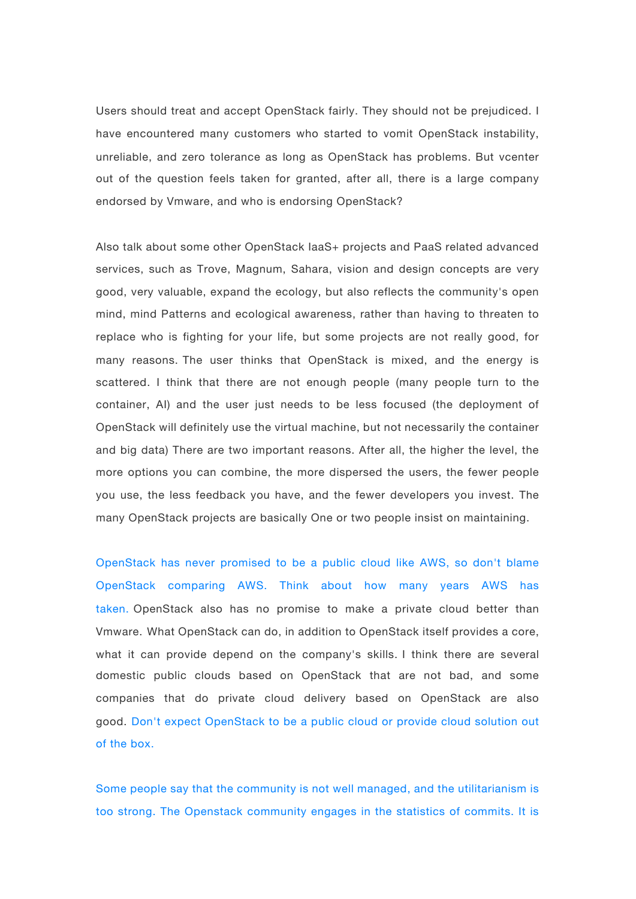Users should treat and accept OpenStack fairly. They should not be prejudiced. I have encountered many customers who started to vomit OpenStack instability, unreliable, and zero tolerance as long as OpenStack has problems. But vcenter out of the question feels taken for granted, after all, there is a large company endorsed by Vmware, and who is endorsing OpenStack?

Also talk about some other OpenStack IaaS+ projects and PaaS related advanced services, such as Trove, Magnum, Sahara, vision and design concepts are very good, very valuable, expand the ecology, but also reflects the community's open mind, mind Patterns and ecological awareness, rather than having to threaten to replace who is fighting for your life, but some projects are not really good, for many reasons. The user thinks that OpenStack is mixed, and the energy is scattered. I think that there are not enough people (many people turn to the container, AI) and the user just needs to be less focused (the deployment of OpenStack will definitely use the virtual machine, but not necessarily the container and big data) There are two important reasons. After all, the higher the level, the more options you can combine, the more dispersed the users, the fewer people you use, the less feedback you have, and the fewer developers you invest. The many OpenStack projects are basically One or two people insist on maintaining.

OpenStack has never promised to be a public cloud like AWS, so don't blame OpenStack comparing AWS. Think about how many years AWS has taken. OpenStack also has no promise to make a private cloud better than Vmware. What OpenStack can do, in addition to OpenStack itself provides a core, what it can provide depend on the company's skills. I think there are several domestic public clouds based on OpenStack that are not bad, and some companies that do private cloud delivery based on OpenStack are also good. Don't expect OpenStack to be a public cloud or provide cloud solution out of the box.

Some people say that the community is not well managed, and the utilitarianism is too strong. The Openstack community engages in the statistics of commits. It is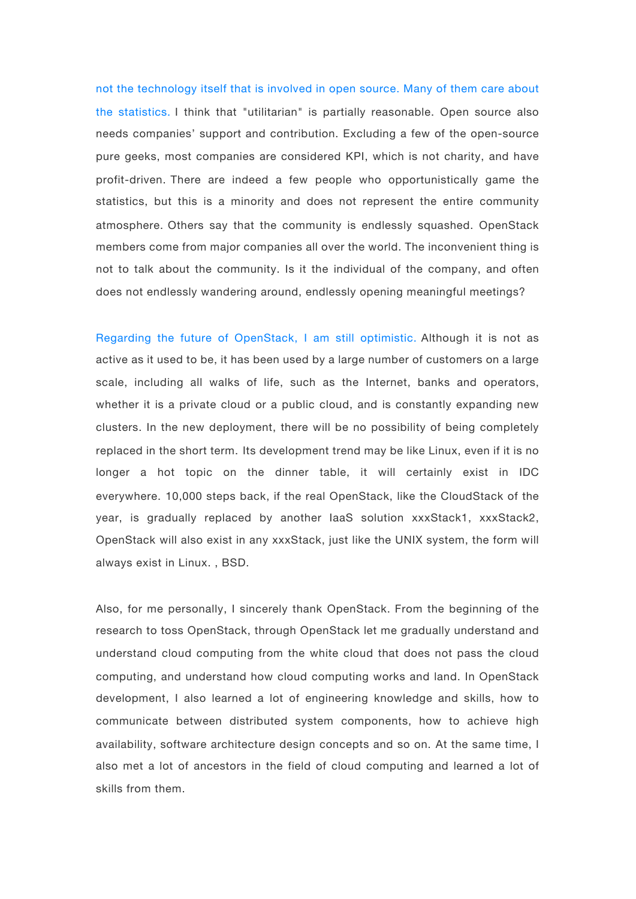not the technology itself that is involved in open source. Many of them care about the statistics. I think that "utilitarian" is partially reasonable. Open source also needs companies' support and contribution. Excluding a few of the open-source pure geeks, most companies are considered KPI, which is not charity, and have profit-driven. There are indeed a few people who opportunistically game the statistics, but this is a minority and does not represent the entire community atmosphere. Others say that the community is endlessly squashed. OpenStack members come from major companies all over the world. The inconvenient thing is not to talk about the community. Is it the individual of the company, and often does not endlessly wandering around, endlessly opening meaningful meetings?

Regarding the future of OpenStack, I am still optimistic. Although it is not as active as it used to be, it has been used by a large number of customers on a large scale, including all walks of life, such as the Internet, banks and operators, whether it is a private cloud or a public cloud, and is constantly expanding new clusters. In the new deployment, there will be no possibility of being completely replaced in the short term. Its development trend may be like Linux, even if it is no longer a hot topic on the dinner table, it will certainly exist in IDC everywhere. 10,000 steps back, if the real OpenStack, like the CloudStack of the year, is gradually replaced by another IaaS solution xxxStack1, xxxStack2, OpenStack will also exist in any xxxStack, just like the UNIX system, the form will always exist in Linux. , BSD.

Also, for me personally, I sincerely thank OpenStack. From the beginning of the research to toss OpenStack, through OpenStack let me gradually understand and understand cloud computing from the white cloud that does not pass the cloud computing, and understand how cloud computing works and land. In OpenStack development, I also learned a lot of engineering knowledge and skills, how to communicate between distributed system components, how to achieve high availability, software architecture design concepts and so on. At the same time, I also met a lot of ancestors in the field of cloud computing and learned a lot of skills from them.